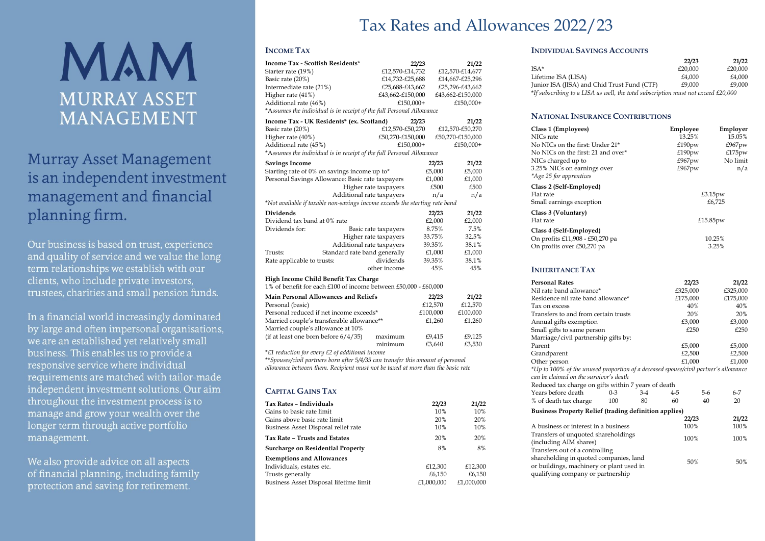# Tax Rates and Allowances 2022/23



# **Murray Asset Management** is an independent investment management and financial planning firm.

Our business is based on trust, experience and quality of service and we value the long term relationships we establish with our clients, who include private investors, trustees, charities and small pension funds.

In a financial world increasingly dominated by large and often impersonal organisations, we are an established yet relatively small business. This enables us to provide a responsive service where individual requirements are matched with tailor-made independent investment solutions. Our aim throughout the investment process is to manage and grow your wealth over the longer term through active portfolio management.

We also provide advice on all aspects of financial planning, including family protection and saving for retirement.

## **INCOME TAX**

| <b>Income Tax - Scottish Residents*</b>                                     |                       | 22/23    | 21/22            |  |
|-----------------------------------------------------------------------------|-----------------------|----------|------------------|--|
| Starter rate (19%)                                                          | £12,570-£14,732       |          | £12,570-£14,677  |  |
| Basic rate (20%)                                                            | £14,732-£25,688       |          | £14,667-£25,296  |  |
| Intermediate rate (21%)                                                     | £25,688-£43,662       |          | £25,296-£43,662  |  |
| Higher rate (41%)                                                           | £43,662-£150,000      |          | £43,662-£150,000 |  |
| Additional rate (46%)                                                       | $£150,000+$           |          | £150,000+        |  |
| *Assumes the individual is in receipt of the full Personal Allowance        |                       |          |                  |  |
| Income Tax - UK Residents* (ex. Scotland)                                   |                       | 22/23    | 21/22            |  |
| Basic rate (20%)                                                            | £12,570-£50,270       |          | £12,570-£50,270  |  |
| Higher rate (40%)                                                           | £50,270-£150,000      |          | £50,270-£150,000 |  |
| Additional rate (45%)                                                       | £150,000+             |          | £150,000+        |  |
| *Assumes the individual is in receipt of the full Personal Allowance        |                       |          |                  |  |
| <b>Savings Income</b>                                                       |                       | 22/23    | 21/22            |  |
| Starting rate of 0% on savings income up to*                                |                       | £5,000   | £5,000           |  |
| Personal Savings Allowance: Basic rate taxpayers                            |                       | £1,000   | £1,000           |  |
| Higher rate taxpayers                                                       |                       | £500     | £500             |  |
| Additional rate taxpayers                                                   |                       | n/a      | n/a              |  |
| *Not available if taxable non-savings income exceeds the starting rate band |                       |          |                  |  |
| Dividends                                                                   |                       | 22/23    | 21/22            |  |
| Dividend tax band at 0% rate                                                |                       | £2,000   | £2,000           |  |
| Dividends for:                                                              | Basic rate taxpayers  | 8.75%    | 7.5%             |  |
|                                                                             | Higher rate taxpayers | 33.75%   | 32.5%            |  |
| Additional rate taxpayers                                                   |                       | 39.35%   | 38.1%            |  |
| Standard rate band generally<br>Trusts:                                     |                       | £1,000   | £1,000           |  |
| Rate applicable to trusts:                                                  | dividends             | 39.35%   | 38.1%            |  |
|                                                                             | other income          | 45%      | 45%              |  |
| High Income Child Benefit Tax Charge                                        |                       |          |                  |  |
| 1% of benefit for each £100 of income between £50,000 - £60,000             |                       |          |                  |  |
| <b>Main Personal Allowances and Reliefs</b>                                 |                       | 22/23    | 21/22            |  |
| Personal (basic)                                                            |                       | £12,570  | £12,570          |  |
| Personal reduced if net income exceeds*                                     |                       | £100,000 | £100,000         |  |
| Married couple's transferable allowance**                                   |                       | £1,260   | £1,260           |  |
| Married couple's allowance at 10%                                           |                       |          |                  |  |
| (if at least one born before $6/4/35$ )                                     | maximum               | £9,415   | £9,125           |  |

minimum £3,640 £3,530 \**£1 reduction for every £2 of additional income*

\*\**Spouses/civil partners born after 5/4/35 can transfer this amount of personal allowance between them. Recipient must not be taxed at more than the basic rate*

## **CAPITAL GAINS TAX**

| Tax Rates - Individuals                | 22/23      | 21/22      |
|----------------------------------------|------------|------------|
| Gains to basic rate limit              | 10%        | 10%        |
| Gains above basic rate limit           | 20%        | 20%        |
| Business Asset Disposal relief rate    | 10%        | 10%        |
| Tax Rate - Trusts and Estates          | 20%        | 20%        |
| Surcharge on Residential Property      | 8%         | 8%         |
| <b>Exemptions and Allowances</b>       |            |            |
| Individuals, estates etc.              | £12,300    | £12,300    |
| Trusts generally                       | £6,150     | £6,150     |
| Business Asset Disposal lifetime limit | £1,000,000 | £1,000,000 |

### **INDIVIDUAL SAVINGS ACCOUNTS**

|                                                                                   | 22/23   | 21/22   |
|-----------------------------------------------------------------------------------|---------|---------|
| ISA*                                                                              | £20,000 | £20.000 |
| Lifetime ISA (LISA)                                                               | £4.000  | £4.000  |
| Junior ISA (JISA) and Chid Trust Fund (CTF)                                       | £9.000  | £9.000  |
| *If subscribing to a LISA as well, the total subscription must not exceed £20,000 |         |         |

### **NATIONAL INSURANCE CONTRIBUTIONS**

| Class 1 (Employees)<br>NICs rate                                 | Employee<br>13.25% | Employer<br>15.05% |
|------------------------------------------------------------------|--------------------|--------------------|
| No NICs on the first: Under 21*                                  | £190 $pw$          | £967 $pw$          |
| No NICs on the first: 21 and over*                               | £190 $pw$          | £175 $pw$          |
| NICs charged up to                                               | £967pw             | No limit           |
| 3.25% NICs on earnings over                                      | £967pw             | n/a                |
| *Age 25 for apprentices                                          |                    |                    |
| Class 2 (Self-Employed)<br>Flat rate<br>Small earnings exception |                    | £3.15pw<br>£6,725  |
| Class 3 (Voluntary)<br>Flat rate                                 |                    | £15.85pw           |
| Class 4 (Self-Employed)<br>On profits £11,908 - £50,270 pa       |                    | 10.25%             |
| On profits over £50,270 pa                                       |                    | 3.25%              |

### **INHERITANCE TAX**

| <b>Personal Rates</b>                                                                                                                                     | 22/23    | 21/22            |
|-----------------------------------------------------------------------------------------------------------------------------------------------------------|----------|------------------|
| Nil rate band allowance*                                                                                                                                  | £325,000 | £325,000         |
| Residence nil rate band allowance*                                                                                                                        | £175,000 | £175,000         |
| Tax on excess                                                                                                                                             | 40%      | 40%              |
| Transfers to and from certain trusts                                                                                                                      | 20%      | 20%              |
| Annual gifts exemption                                                                                                                                    | £3,000   | £3,000           |
| Small gifts to same person                                                                                                                                | £250     | £250             |
| Marriage/civil partnership gifts by:                                                                                                                      |          |                  |
| Parent                                                                                                                                                    | £5,000   | £5,000           |
| Grandparent                                                                                                                                               | £2,500   | £2,500           |
| Other person                                                                                                                                              | £1,000   | £1,000           |
| *Up to 100% of the unused proportion of a deceased spouse/civil partner's allowance                                                                       |          |                  |
| can be claimed on the survivor's death                                                                                                                    |          |                  |
| Reduced tax charge on gifts within 7 years of death                                                                                                       |          |                  |
| Years before death<br>$0 - 3$<br>$3-4$                                                                                                                    | 4-5      | $6 - 7$<br>$5-6$ |
| % of death tax charge<br>80<br>100                                                                                                                        | 60       | 40<br>20         |
| <b>Business Property Relief (trading definition applies)</b>                                                                                              |          |                  |
|                                                                                                                                                           | 22/23    | 21/22            |
| A business or interest in a business                                                                                                                      | 100%     | 100%             |
| Transfers of unquoted shareholdings<br>(including AIM shares)                                                                                             | 100%     | 100%             |
| Transfers out of a controlling<br>shareholding in quoted companies, land<br>or buildings, machinery or plant used in<br>qualifying company or partnership | 50%      | 50%              |